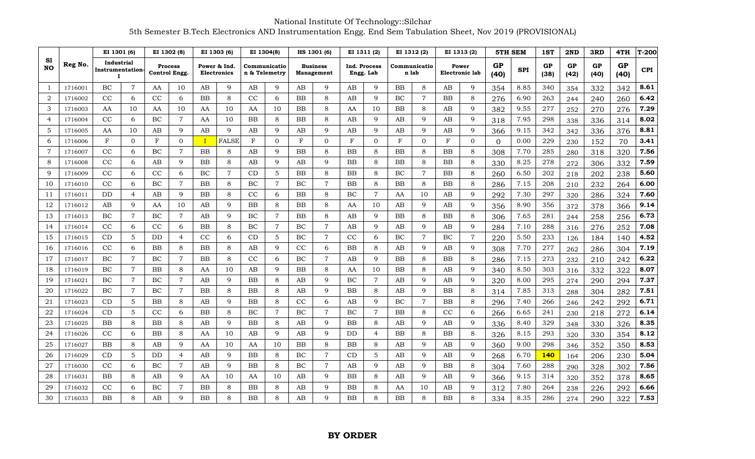National Institute Of Technology::Silchar 5th Semester B.Tech Electronics AND Instrumentation Engg. End Sem Tabulation Sheet, Nov 2019 (PROVISIONAL)

|                 |         | EI 1301 (6)                          |                | EI 1302 (8)                     |                | EI 1303 (6)                        |                | EI 1304(8)                    |                | HS 1301 (6)                   |                | EI 1311 (2)               |                | EI 1312 (2)           |                | EI 1313 (2)                    |                | <b>5TH SEM</b> |            | 1ST        | 2ND        | 3RD        | 4TH        | T-200      |
|-----------------|---------|--------------------------------------|----------------|---------------------------------|----------------|------------------------------------|----------------|-------------------------------|----------------|-------------------------------|----------------|---------------------------|----------------|-----------------------|----------------|--------------------------------|----------------|----------------|------------|------------|------------|------------|------------|------------|
| S1<br><b>NO</b> | Reg No. | Industrial<br>Instrumentation-<br>п. |                | <b>Process</b><br>Control Engg. |                | Power & Ind.<br><b>Electronics</b> |                | Communicatio<br>n & Telemetry |                | <b>Business</b><br>Management |                | Ind. Process<br>Engg. Lab |                | Communicatio<br>n lab |                | Power<br><b>Electronic lab</b> |                | GP<br>(40)     | <b>SPI</b> | GP<br>(38) | GP<br>(42) | GP<br>(40) | GP<br>(40) | <b>CPI</b> |
| -1              | 1716001 | BC                                   | $\overline{7}$ | AA                              | 10             | AB                                 | 9              | AB                            | 9              | AB                            | 9              | AB                        | 9              | BB                    | 8              | AB                             | 9              | 354            | 8.85       | 340        | 354        | 332        | 342        | 8.61       |
| 2               | 1716002 | CC                                   | 6              | CC                              | 6              | <b>BB</b>                          | 8              | CC                            | 6              | <b>BB</b>                     | 8              | AB                        | $\mathbf Q$    | BC                    | $\overline{7}$ | <b>BB</b>                      | 8              | 276            | 6.90       | 263        | 244        | 240        | 260        | 6.42       |
| 3               | 1716003 | AA                                   | 10             | AA                              | 10             | AA                                 | 10             | AA                            | 10             | <b>BB</b>                     | 8              | AA                        | 10             | <b>BB</b>             | 8              | AB                             | 9              | 382            | 9.55       | 277        | 252        | 270        | 276        | 7.29       |
| $\overline{4}$  | 1716004 | CC                                   | 6              | BC                              | $\overline{7}$ | AA                                 | 10             | <b>BB</b>                     | 8              | <b>BB</b>                     | 8              | AB                        | $\mathbf Q$    | AB                    | 9              | AB                             | 9              | 318            | 7.95       | 298        | 338        | 336        | 314        | 8.02       |
| 5               | 1716005 | AA                                   | 10             | AB                              | 9              | AB                                 | 9              | AB                            | 9              | AB                            | 9              | AB                        | 9              | AB                    | 9              | AB                             | 9              | 366            | 9.15       | 342        | 342        | 336        | 376        | 8.81       |
| 6               | 1716006 | F                                    | $\overline{0}$ | $_{\rm F}$                      | $\overline{0}$ |                                    | FALSE          | F                             | $\Omega$       | F                             | $\overline{0}$ | F                         | $\Omega$       | $_{\rm F}$            | $\mathbf{0}$   | $_{\rm F}$                     | $\mathbf 0$    | $\Omega$       | 0.00       | 229        | 230        | 152        | 70         | 3.41       |
| 7               | 1716007 | CC                                   | 6              | ВC                              | $\overline{7}$ | BB                                 | 8              | AB                            | 9              | <b>BB</b>                     | 8              | <b>BB</b>                 | 8              | <b>BB</b>             | 8              | ΒB                             | 8              | 308            | 7.70       | 285        | 280        | 318        | 320        | 7.56       |
| 8               | 1716008 | CC                                   | 6              | AB                              | 9              | $_{\rm BB}$                        | 8              | AB                            | 9              | AB                            | 9              | <b>BB</b>                 | 8              | <b>BB</b>             | 8              | <b>BB</b>                      | 8              | 330            | 8.25       | 278        | 272        | 306        | 332        | 7.59       |
| 9               | 1716009 | CC                                   | 6              | CC                              | 6              | ВC                                 | $\overline{7}$ | CD                            | 5              | <b>BB</b>                     | 8              | <b>BB</b>                 | 8              | BC                    | $\overline{7}$ | <b>BB</b>                      | 8              | 260            | 6.50       | 202        | 218        | 202        | 238        | 5.60       |
| 10              | 1716010 | CC                                   | 6              | BC                              | $\overline{7}$ | BB                                 | 8              | BC                            | $\overline{7}$ | BC                            | $\overline{7}$ | BB                        | 8              | <b>BB</b>             | 8              | BB                             | 8              | 286            | 7.15       | 208        | 210        | 232        | 264        | 6.00       |
| 11              | 1716011 | DD                                   | $\overline{4}$ | AB                              | 9              | ΒB                                 | 8              | $_{\rm CC}$                   | 6              | BB                            | 8              | BC                        | 7              | AA                    | 10             | AB                             | 9              | 292            | 7.30       | 297        | 320        | 286        | 324        | 7.60       |
| 12              | 1716012 | AB                                   | 9              | AA                              | 10             | AΒ                                 | 9              | $_{\rm BB}$                   | 8              | <b>BB</b>                     | 8              | AA                        | 10             | AB                    | 9              | AB                             | 9              | 356            | 8.90       | 356        | 372        | 378        | 366        | 9.14       |
| 13              | 1716013 | BC                                   | $\overline{7}$ | ВC                              | $\overline{7}$ | AВ                                 | 9              | BC                            | 7              | <b>BB</b>                     | 8              | AB                        | 9              | <b>BB</b>             | 8              | $_{\rm BB}$                    | 8              | 306            | 7.65       | 281        | 244        | 258        | 256        | 6.73       |
| 14              | 1716014 | CC                                   | 6              | CC                              | 6              | <b>BB</b>                          | 8              | BC                            | $\overline{7}$ | BC                            | $\overline{7}$ | AB                        | 9              | AB                    | 9              | AB                             | 9              | 284            | 7.10       | 288        | 316        | 276        | 252        | 7.08       |
| 15              | 1716015 | CD                                   | 5              | DD                              | 4              | CC                                 | 6              | CD                            | $\mathbf 5$    | BC                            | $\overline{7}$ | CC                        | 6              | BC                    | 7              | BC                             | $\overline{7}$ | 220            | 5.50       | 233        | 126        | 184        | 140        | 4.52       |
| 16              | 1716016 | CC                                   | 6              | ΒB                              | 8              | ΒB                                 | 8              | AB                            | 9              | CC                            | 6              | BB                        | 8              | AB                    | 9              | AB                             | 9              | 308            | 7.70       | 277        | 262        | 286        | 304        | 7.19       |
| 17              | 1716017 | BC                                   | $\overline{7}$ | ВC                              | $\overline{7}$ | ΒB                                 | 8              | CC                            | 6              | BC                            | $\overline{7}$ | AB                        | 9              | BB                    | 8              | $_{\rm BB}$                    | 8              | 286            | 7.15       | 273        | 232        | 210        | 242        | 6.22       |
| 18              | 1716019 | BC                                   | $\overline{7}$ | BB                              | 8              | AA                                 | 10             | AB                            | $\mathbf Q$    | <b>BB</b>                     | 8              | AA                        | 10             | <b>BB</b>             | 8              | AB                             | 9              | 340            | 8.50       | 303        | 316        | 332        | 322        | 8.07       |
| 19              | 1716021 | BC                                   | $\overline{7}$ | BC                              | $\overline{7}$ | AB                                 | 9              | <b>BB</b>                     | 8              | AB                            | 9              | BC                        | $\overline{7}$ | AB                    | 9              | AB                             | 9              | 320            | 8.00       | 295        | 274        | 290        | 294        | 7.37       |
| 20              | 1716022 | ВC                                   | $\overline{7}$ | ВC                              | $\overline{7}$ | ΒB                                 | 8              | $_{\rm BB}$                   | 8              | AB                            | 9              | BB                        | 8              | AB                    | 9              | ΒB                             | 8              | 314            | 7.85       | 313        | 288        | 304        | 282        | 7.51       |
| 21              | 1716023 | CD                                   | 5              | ΒB                              | 8              | AB                                 | 9              | $_{\rm BB}$                   | 8              | CC                            | 6              | AB                        | 9              | BC                    | 7              | ΒB                             | 8              | 296            | 7.40       | 266        | 246        | 242        | 292        | 6.71       |
| 22              | 1716024 | CD                                   | 5              | CC                              | 6              | BB                                 | 8              | $\rm BC$                      | $\overline{7}$ | BC                            | $\overline{7}$ | BC                        | $\overline{7}$ | <b>BB</b>             | 8              | CC                             | 6              | 266            | 6.65       | 241        | 230        | 218        | 272        | 6.14       |
| 23              | 1716025 | <b>BB</b>                            | 8              | BB                              | 8              | AB                                 | 9              | <b>BB</b>                     | 8              | AB                            | 9              | <b>BB</b>                 | 8              | AB                    | 9              | AB                             | 9              | 336            | 8.40       | 329        | 348        | 330        | 326        | 8.35       |
| 24              | 1716026 | CC                                   | 6              | $_{\rm BB}$                     | $\,8\,$        | AA                                 | 10             | AВ                            | $\mathbf Q$    | AB                            | 9              | DD                        | 4              | <b>BB</b>             | 8              | BB                             | 8              | 326            | 8.15       | 293        | 320        | 330        | 354        | 8.12       |
| 25              | 1716027 | <b>BB</b>                            | 8              | AB                              | 9              | AA                                 | 10             | AA                            | 10             | BB                            | 8              | BB                        | 8              | AB                    | 9              | AB                             | 9              | 360            | 9.00       | 298        | 346        | 352        | 350        | 8.53       |
| 26              | 1716029 | CD                                   | 5              | DD                              | $\overline{4}$ | AB                                 | 9              | BB                            | 8              | BC                            | $\overline{7}$ | CD                        | 5              | AB                    | 9              | AB                             | 9              | 268            | 6.70       | <b>140</b> | 164        | 206        | 230        | 5.04       |
| 27              | 1716030 | CC                                   | 6              | BC                              | $\overline{7}$ | AB                                 | 9              | <b>BB</b>                     | 8              | <b>BC</b>                     | $\overline{7}$ | AB                        | $\mathbf Q$    | AB                    | 9              | <b>BB</b>                      | 8              | 304            | 7.60       | 288        | 290        | 328        | 302        | 7.56       |
| 28              | 1716031 | <b>BB</b>                            | 8              | AB                              | 9              | AA                                 | 10             | AA                            | 10             | AB                            | 9              | BB                        | 8              | AB                    | 9              | AB                             | 9              | 366            | 9.15       | 314        | 320        | 352        | 378        | 8.65       |
| 29              | 1716032 | CC                                   | 6              | ВC                              | $\overline{7}$ | ΒB                                 | 8              | $_{\rm BB}$                   | 8              | AΒ                            | $\mathbf{Q}$   | BB                        | 8              | AA                    | 10             | AB                             | 9              | 312            | 7.80       | 264        | 238        | 226        | 292        | 6.66       |
| 30              | 1716033 | <b>BB</b>                            | 8              | AB                              | 9              | $_{\rm BB}$                        | 8              | <b>BB</b>                     | 8              | AB                            | $\mathbf Q$    | <b>BB</b>                 | 8              | <b>BB</b>             | 8              | $_{\rm BB}$                    | 8              | 334            | 8.35       | 286        | 274        | 290        | 322        | 7.53       |